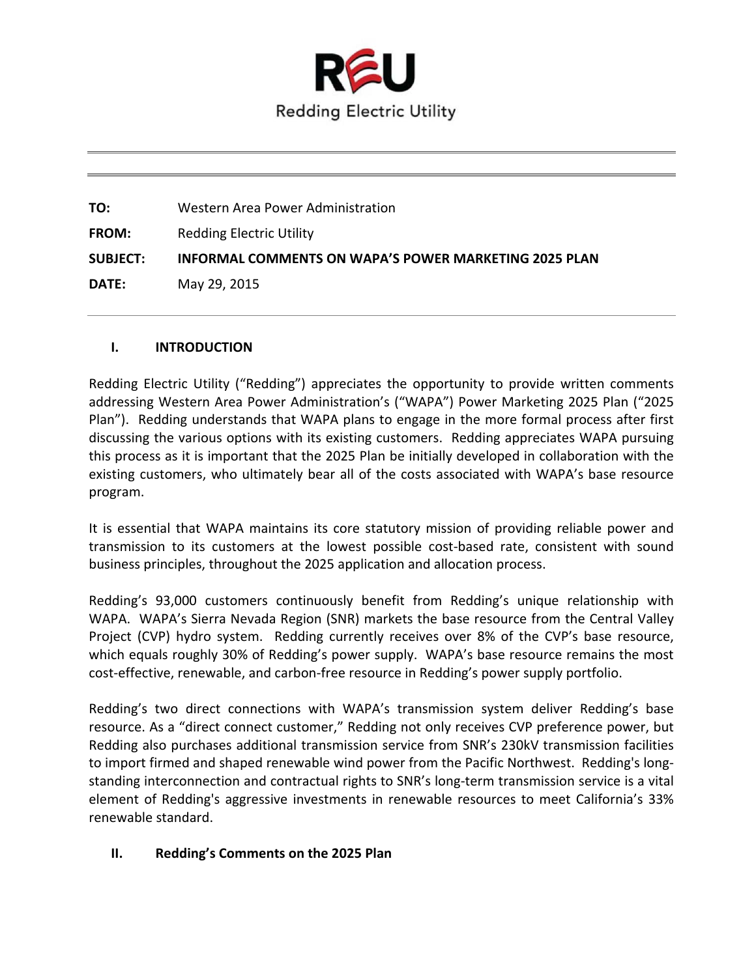

**TO:** Western Area Power Administration **FROM:** Redding Electric Utility **SUBJECT: INFORMAL COMMENTS ON WAPA'S POWER MARKETING 2025 PLAN DATE:** May 29, 2015

#### **I. INTRODUCTION**

Redding Electric Utility ("Redding") appreciates the opportunity to provide written comments addressing Western Area Power Administration's ("WAPA") Power Marketing 2025 Plan ("2025 Plan"). Redding understands that WAPA plans to engage in the more formal process after first discussing the various options with its existing customers. Redding appreciates WAPA pursuing this process as it is important that the 2025 Plan be initially developed in collaboration with the existing customers, who ultimately bear all of the costs associated with WAPA's base resource program.

It is essential that WAPA maintains its core statutory mission of providing reliable power and transmission to its customers at the lowest possible cost‐based rate, consistent with sound business principles, throughout the 2025 application and allocation process.

Redding's 93,000 customers continuously benefit from Redding's unique relationship with WAPA. WAPA's Sierra Nevada Region (SNR) markets the base resource from the Central Valley Project (CVP) hydro system. Redding currently receives over 8% of the CVP's base resource, which equals roughly 30% of Redding's power supply. WAPA's base resource remains the most cost-effective, renewable, and carbon-free resource in Redding's power supply portfolio.

Redding's two direct connections with WAPA's transmission system deliver Redding's base resource. As a "direct connect customer," Redding not only receives CVP preference power, but Redding also purchases additional transmission service from SNR's 230kV transmission facilities to import firmed and shaped renewable wind power from the Pacific Northwest. Redding's longstanding interconnection and contractual rights to SNR's long-term transmission service is a vital element of Redding's aggressive investments in renewable resources to meet California's 33% renewable standard.

# **II. Redding's Comments on the 2025 Plan**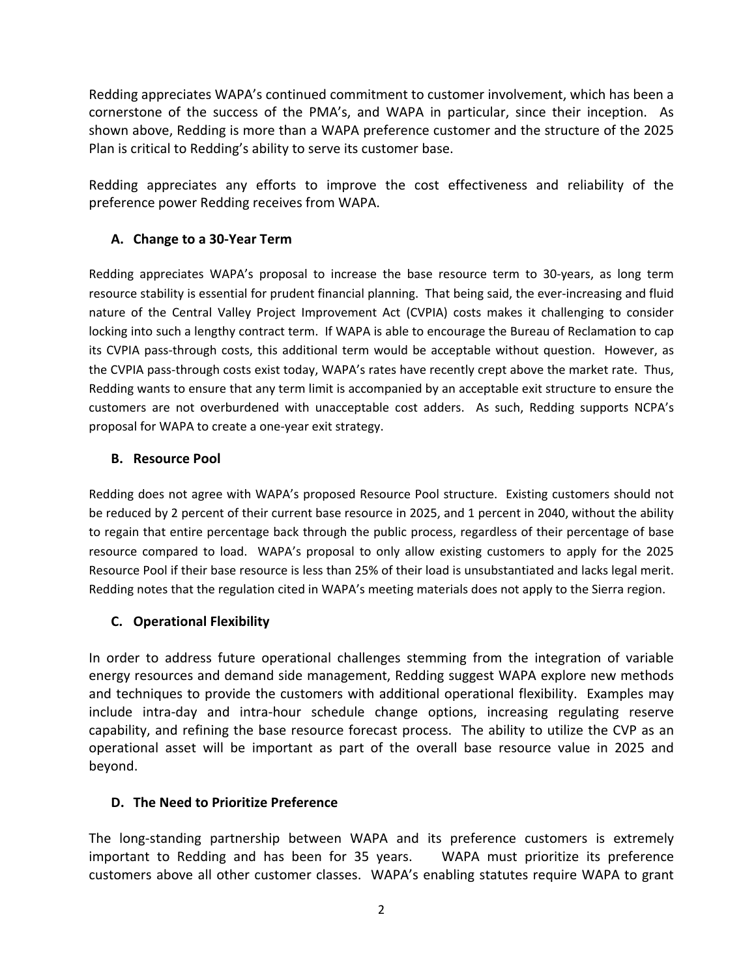Redding appreciates WAPA's continued commitment to customer involvement, which has been a cornerstone of the success of the PMA's, and WAPA in particular, since their inception. As shown above, Redding is more than a WAPA preference customer and the structure of the 2025 Plan is critical to Redding's ability to serve its customer base.

Redding appreciates any efforts to improve the cost effectiveness and reliability of the preference power Redding receives from WAPA.

### **A. Change to a 30‐Year Term**

Redding appreciates WAPA's proposal to increase the base resource term to 30-years, as long term resource stability is essential for prudent financial planning. That being said, the ever-increasing and fluid nature of the Central Valley Project Improvement Act (CVPIA) costs makes it challenging to consider locking into such a lengthy contract term. If WAPA is able to encourage the Bureau of Reclamation to cap its CVPIA pass‐through costs, this additional term would be acceptable without question. However, as the CVPIA pass‐through costs exist today, WAPA's rates have recently crept above the market rate. Thus, Redding wants to ensure that any term limit is accompanied by an acceptable exit structure to ensure the customers are not overburdened with unacceptable cost adders. As such, Redding supports NCPA's proposal for WAPA to create a one‐year exit strategy.

#### **B. Resource Pool**

Redding does not agree with WAPA's proposed Resource Pool structure. Existing customers should not be reduced by 2 percent of their current base resource in 2025, and 1 percent in 2040, without the ability to regain that entire percentage back through the public process, regardless of their percentage of base resource compared to load. WAPA's proposal to only allow existing customers to apply for the 2025 Resource Pool if their base resource is less than 25% of their load is unsubstantiated and lacks legal merit. Redding notes that the regulation cited in WAPA's meeting materials does not apply to the Sierra region.

# **C. Operational Flexibility**

In order to address future operational challenges stemming from the integration of variable energy resources and demand side management, Redding suggest WAPA explore new methods and techniques to provide the customers with additional operational flexibility. Examples may include intra-day and intra-hour schedule change options, increasing regulating reserve capability, and refining the base resource forecast process. The ability to utilize the CVP as an operational asset will be important as part of the overall base resource value in 2025 and beyond.

#### **D. The Need to Prioritize Preference**

The long‐standing partnership between WAPA and its preference customers is extremely important to Redding and has been for 35 years. WAPA must prioritize its preference customers above all other customer classes. WAPA's enabling statutes require WAPA to grant